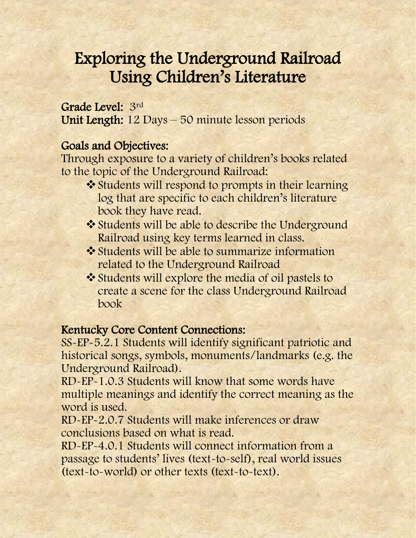# Exploring the Underground Railroad Using Children's Literature

#### Grade Level: 3rd

Unit Length: 12 Days – 50 minute lesson periods

#### Goals and Objectives:

Through exposure to a variety of children's books related to the topic of the Underground Railroad:

- ❖ Students will respond to prompts in their learning log that are specific to each children's literature book they have read.
- Students will be able to describe the Underground Railroad using key terms learned in class.
- **❖** Students will be able to summarize information related to the Underground Railroad
- Students will explore the media of oil pastels to create a scene for the class Underground Railroad book

#### Kentucky Core Content Connections:

SS-EP-5.2.1 Students will identify significant patriotic and historical songs, symbols, monuments/landmarks (e.g. the Underground Railroad).

RD-EP-1.0.3 Students will know that some words have multiple meanings and identify the correct meaning as the word is used.

RD-EP-2.0.7 Students will make inferences or draw conclusions based on what is read.

RD-EP-4.0.1 Students will connect information from a passage to students' lives (text-to-self), real world issues (text-to-world) or other texts (text-to-text).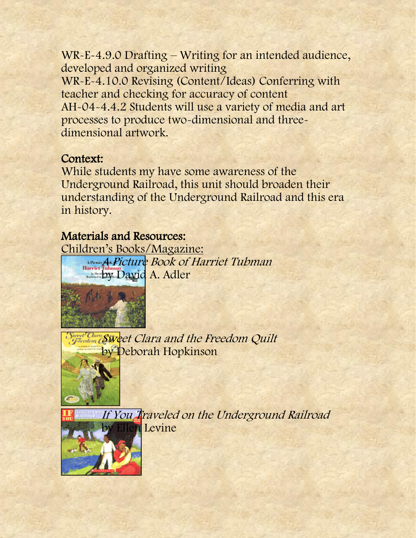WR-E-4.9.0 Drafting – Writing for an intended audience, developed and organized writing WR-E-4.10.0 Revising (Content/Ideas) Conferring with teacher and checking for accuracy of content AH-04-4.4.2 Students will use a variety of media and art processes to produce two-dimensional and threedimensional artwork.

#### Context:

While students my have some awareness of the Underground Railroad, this unit should broaden their understanding of the Underground Railroad and this era in history.

### Materials and Resources:

Children's Books/Magazine: A Picture Book of Harriet Tubman by David A. Adler



Sweet Clare Sweet Clara and the Freedom Quilt by Deborah Hopkinson



If You Traveled on the Underground Railroad **n** Levine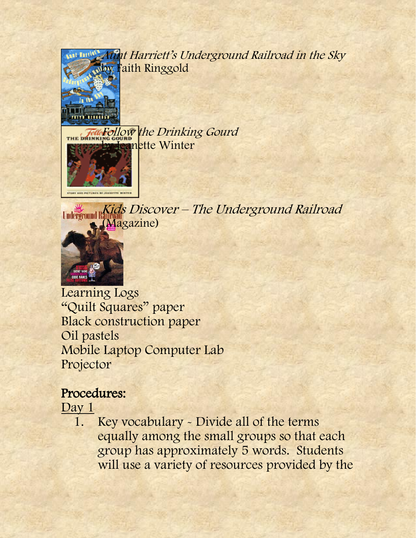

Aunt Harriett's Underground Railroad in the Sky by Faith Ringgold

Follow the Drinking Gourd **Heanette Winter** 



Underground Rids Discover - The Underground Railroad (Magazine)



Learning Logs "Quilt Squares" paper Black construction paper Oil pastels Mobile Laptop Computer Lab Projector

# Procedures:

### Day 1

1. Key vocabulary - Divide all of the terms equally among the small groups so that each group has approximately 5 words. Students will use a variety of resources provided by the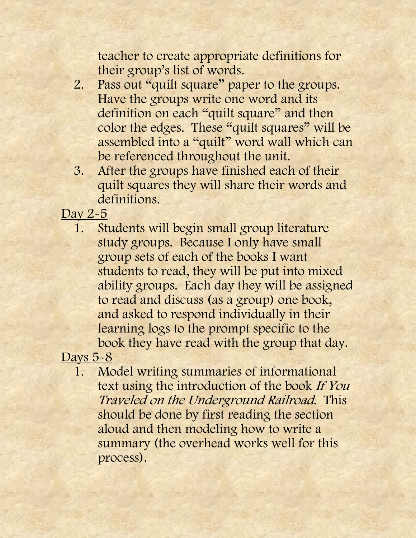teacher to create appropriate definitions for their group's list of words.

- 2. Pass out "quilt square" paper to the groups. Have the groups write one word and its definition on each "quilt square" and then color the edges. These "quilt squares" will be assembled into a "quilt" word wall which can be referenced throughout the unit.
- 3. After the groups have finished each of their quilt squares they will share their words and definitions.

Day 2-5

1. Students will begin small group literature study groups. Because I only have small group sets of each of the books I want students to read, they will be put into mixed ability groups. Each day they will be assigned to read and discuss (as a group) one book, and asked to respond individually in their learning logs to the prompt specific to the book they have read with the group that day.

Days 5-8

1. Model writing summaries of informational text using the introduction of the book If You Traveled on the Underground Railroad. This should be done by first reading the section aloud and then modeling how to write a summary (the overhead works well for this process).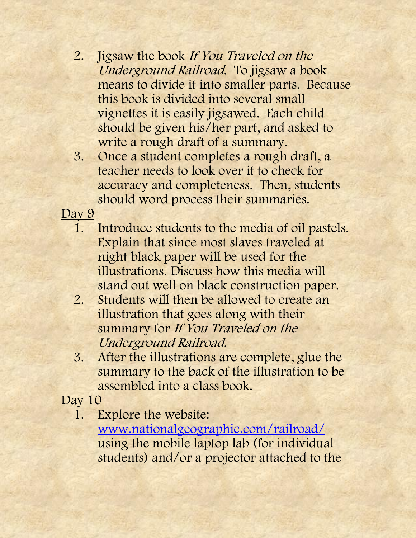- 2. Jigsaw the book If You Traveled on the Underground Railroad. To jigsaw a book means to divide it into smaller parts. Because this book is divided into several small vignettes it is easily jigsawed. Each child should be given his/her part, and asked to write a rough draft of a summary.
- 3. Once a student completes a rough draft, a teacher needs to look over it to check for accuracy and completeness. Then, students should word process their summaries.

Day 9

- 1. Introduce students to the media of oil pastels. Explain that since most slaves traveled at night black paper will be used for the illustrations. Discuss how this media will stand out well on black construction paper.
- 2. Students will then be allowed to create an illustration that goes along with their summary for If You Traveled on the Underground Railroad.
- 3. After the illustrations are complete, glue the summary to the back of the illustration to be assembled into a class book.

Day 10

1. Explore the website:

[www.nationalgeographic.com/railroad/](http://www.nationalgeographic.com/railroad/) using the mobile laptop lab (for individual students) and/or a projector attached to the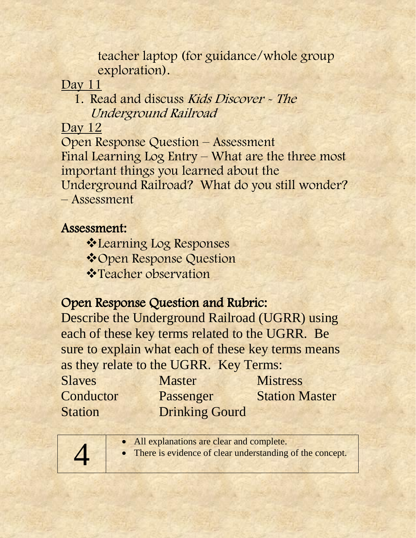teacher laptop (for guidance/whole group exploration).

Day 11

1. Read and discuss Kids Discover - The Underground Railroad

Day 12

Open Response Question – Assessment Final Learning Log Entry – What are the three most important things you learned about the Underground Railroad? What do you still wonder? – Assessment

Assessment:

**Examing Log Responses** 

**Vopen Response Question** 

 **\* Teacher observation** 

## Open Response Question and Rubric:

Describe the Underground Railroad (UGRR) using each of these key terms related to the UGRR. Be sure to explain what each of these key terms means as they relate to the UGRR. Key Terms:

Slaves Master Mistress Conductor Passenger Station Master **Station Drinking Gourd** 

| • All explanations are clear and complete.<br>• There is evidence of clear understanding of the concept. |
|----------------------------------------------------------------------------------------------------------|
|                                                                                                          |